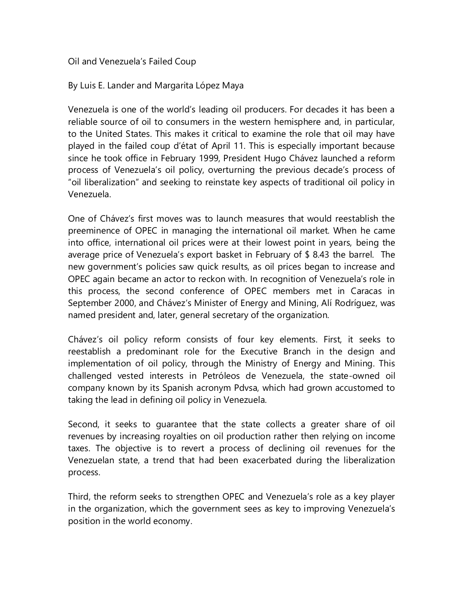Oil and Venezuela's Failed Coup

By Luis E. Lander and Margarita López Maya

Venezuela is one of the world's leading oil producers. For decades it has been a reliable source of oil to consumers in the western hemisphere and, in particular, to the United States. This makes it critical to examine the role that oil may have played in the failed coup d'état of April 11. This is especially important because since he took office in February 1999, President Hugo Chávez launched a reform process of Venezuela's oil policy, overturning the previous decade's process of "oil liberalization" and seeking to reinstate key aspects of traditional oil policy in Venezuela.

One of Chávez's first moves was to launch measures that would reestablish the preeminence of OPEC in managing the international oil market. When he came into office, international oil prices were at their lowest point in years, being the average price of Venezuela's export basket in February of \$ 8.43 the barrel. The new government's policies saw quick results, as oil prices began to increase and OPEC again became an actor to reckon with. In recognition of Venezuela's role in this process, the second conference of OPEC members met in Caracas in September 2000, and Chávez's Minister of Energy and Mining, Alí Rodríguez, was named president and, later, general secretary of the organization.

Chávez's oil policy reform consists of four key elements. First, it seeks to reestablish a predominant role for the Executive Branch in the design and implementation of oil policy, through the Ministry of Energy and Mining. This challenged vested interests in Petróleos de Venezuela, the state-owned oil company known by its Spanish acronym Pdvsa, which had grown accustomed to taking the lead in defining oil policy in Venezuela.

Second, it seeks to guarantee that the state collects a greater share of oil revenues by increasing royalties on oil production rather then relying on income taxes. The objective is to revert a process of declining oil revenues for the Venezuelan state, a trend that had been exacerbated during the liberalization process.

Third, the reform seeks to strengthen OPEC and Venezuela's role as a key player in the organization, which the government sees as key to improving Venezuela's position in the world economy.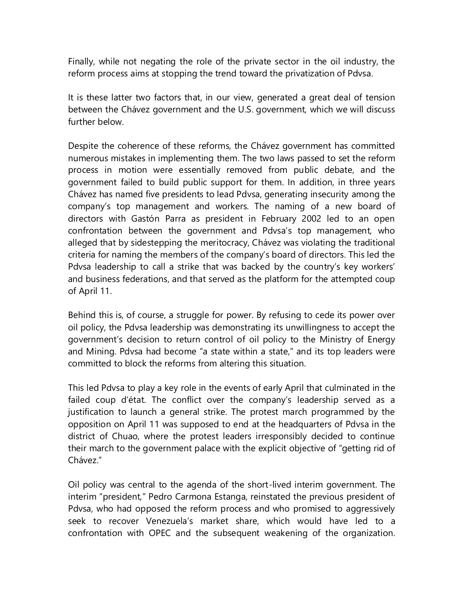Finally, while not negating the role of the private sector in the oil industry, the reform process aims at stopping the trend toward the privatization of Pdvsa.

It is these latter two factors that, in our view, generated a great deal of tension between the Chávez government and the U.S. government, which we will discuss further below.

Despite the coherence of these reforms, the Chávez government has committed numerous mistakes in implementing them. The two laws passed to set the reform process in motion were essentially removed from public debate, and the government failed to build public support for them. In addition, in three years Chávez has named five presidents to lead Pdvsa, generating insecurity among the company's top management and workers. The naming of a new board of directors with Gastón Parra as president in February 2002 led to an open confrontation between the government and Pdvsa's top management, who alleged that by sidestepping the meritocracy, Chávez was violating the traditional criteria for naming the members of the company's board of directors. This led the Pdvsa leadership to call a strike that was backed by the country's key workers' and business federations, and that served as the platform for the attempted coup of April 11.

Behind this is, of course, a struggle for power. By refusing to cede its power over oil policy, the Pdvsa leadership was demonstrating its unwillingness to accept the government's decision to return control of oil policy to the Ministry of Energy and Mining. Pdvsa had become "a state within a state," and its top leaders were committed to block the reforms from altering this situation.

This led Pdvsa to play a key role in the events of early April that culminated in the failed coup d'état. The conflict over the company's leadership served as a justification to launch a general strike. The protest march programmed by the opposition on April 11 was supposed to end at the headquarters of Pdvsa in the district of Chuao, where the protest leaders irresponsibly decided to continue their march to the government palace with the explicit objective of "getting rid of Chávez."

Oil policy was central to the agenda of the short-lived interim government. The interim "president," Pedro Carmona Estanga, reinstated the previous president of Pdvsa, who had opposed the reform process and who promised to aggressively seek to recover Venezuela's market share, which would have led to a confrontation with OPEC and the subsequent weakening of the organization.